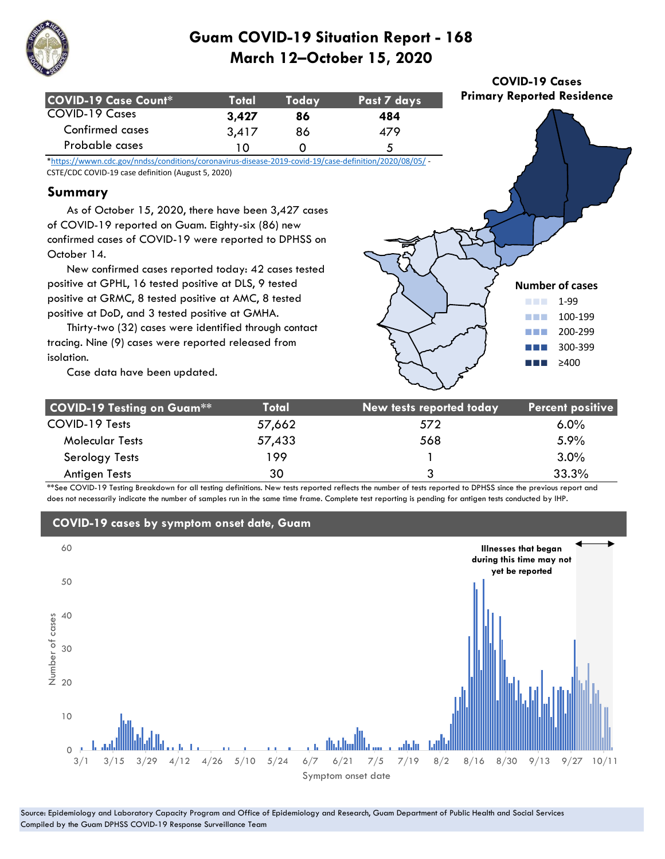

| <b>COVID-19 Case Count*</b> | Totall | Todav | Past 7 days |
|-----------------------------|--------|-------|-------------|
| COVID-19 Cases              | 3.427  | 86    | 484         |
| Confirmed cases             | 3,417  | 86    | 479         |
| Probable cases              |        |       | ∼           |

\*https://wwwn.cdc.gov/nndss/conditions/coronavirus-disease-2019-covid-19/case-definition/2020/08/05/ - CSTE/CDC COVID-19 case definition (August 5, 2020)

### **Summary**

 As of October 15, 2020, there have been 3,427 cases of COVID-19 reported on Guam. Eighty-six (86) new confirmed cases of COVID-19 were reported to DPHSS on October 14.

 New confirmed cases reported today: 42 cases tested positive at GPHL, 16 tested positive at DLS, 9 tested positive at GRMC, 8 tested positive at AMC, 8 tested positive at DoD, and 3 tested positive at GMHA.

 Thirty-two (32) cases were identified through contact tracing. Nine (9) cases were reported released from isolation.

**Number of cases** ■■■ 1-99 ■■■ 100-199 ■■■ 200-299 ■■■ 300-399 ■■■ ≥400

**COVID-19 Cases Primary Reported Residence**

Case data have been updated.

| <b>COVID-19 Testing on Guam**</b> | Total  | New tests reported today | <b>Percent positive</b> |
|-----------------------------------|--------|--------------------------|-------------------------|
| COVID-19 Tests                    | 57,662 | 572                      | $6.0\%$                 |
| <b>Molecular Tests</b>            | 57,433 | 568                      | 5.9%                    |
| Serology Tests                    | 199    |                          | 3.0%                    |
| <b>Antigen Tests</b>              | 30     | 3                        | 33.3%                   |

\*\*See COVID-19 Testing Breakdown for all testing definitions. New tests reported reflects the number of tests reported to DPHSS since the previous report and does not necessarily indicate the number of samples run in the same time frame. Complete test reporting is pending for antigen tests conducted by IHP.



### **COVID-19 cases by symptom onset date, Guam**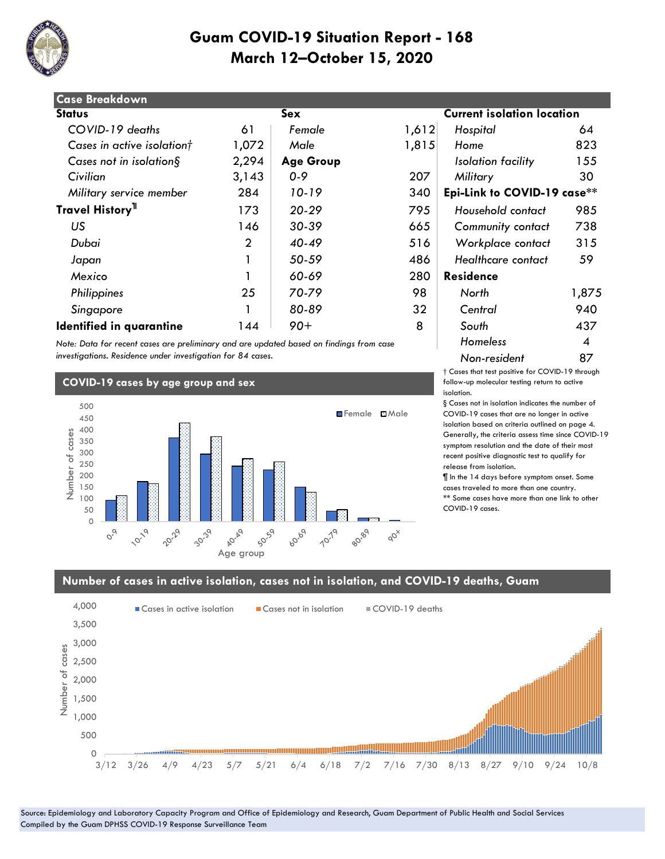

| <b>Case Breakdown</b>        |                |                  |       |                                   |       |  |
|------------------------------|----------------|------------------|-------|-----------------------------------|-------|--|
| <b>Status</b>                |                | Sex              |       | <b>Current isolation location</b> |       |  |
| COVID-19 deaths              | 61             | Female           | 1,612 | Hospital                          | 64    |  |
| Cases in active isolationt   | 1,072          | Male             | 1,815 | Home                              | 823   |  |
| Cases not in isolation $\S$  | 2,294          | <b>Age Group</b> |       | Isolation facility                | 155   |  |
| Civilian                     | 3,143          | $0 - 9$          | 207   | Military                          | 30    |  |
| Military service member      | 284            | 10-19            | 340   | Epi-Link to COVID-19 case**       |       |  |
| Travel History <sup>11</sup> | 173            | $20 - 29$        | 795   | Household contact                 | 985   |  |
| US                           | 146            | 30-39            | 665   | <b>Community contact</b>          | 738   |  |
| Dubai                        | $\overline{2}$ | $40 - 49$        | 516   | Workplace contact                 | 315   |  |
| Japan                        |                | 50-59            | 486   | <b>Healthcare contact</b>         | 59    |  |
| Mexico                       |                | 60-69            | 280   | <b>Residence</b>                  |       |  |
| Philippines                  | 25             | 70-79            | 98    | North                             | 1,875 |  |
| Singapore                    |                | 80-89            | 32    | Central                           | 940   |  |
| Identified in quarantine     | 144            | $90+$            | 8     | South                             | 437   |  |

*Note: Data for recent cases are preliminary and are updated based on findings from case investigations. Residence under investigation for 84 cases.*

#### **COVID-19 cases by age group and sex**



#### $\overline{\text{solution}}$  **location**

| 2 | Hospital                    | 64    |  |  |  |  |
|---|-----------------------------|-------|--|--|--|--|
| 5 | Home                        | 823   |  |  |  |  |
|   | Isolation facility          | 155   |  |  |  |  |
|   | Military                    | 30    |  |  |  |  |
|   | Epi-Link to COVID-19 case** |       |  |  |  |  |
|   | Household contact           | 985   |  |  |  |  |
|   | Community contact           | 738   |  |  |  |  |
|   | Workplace contact           | 315   |  |  |  |  |
|   | Healthcare contact          | 59    |  |  |  |  |
|   | Residence                   |       |  |  |  |  |
|   | North                       | 1,875 |  |  |  |  |
|   | Central                     | 940   |  |  |  |  |
|   | South                       | 437   |  |  |  |  |
|   | Homeless                    | 4     |  |  |  |  |
|   | Non-resident                | 87    |  |  |  |  |

† Cases that test positive for COVID-19 through follow-up molecular testing return to active isolation.

§ Cases not in isolation indicates the number of COVID-19 cases that are no longer in active isolation based on criteria outlined on page 4. Generally, the criteria assess time since COVID-19 symptom resolution and the date of their most recent positive diagnostic test to qualify for release from isolation.

¶ In the 14 days before symptom onset. Some cases traveled to more than one country. \*\* Some cases have more than one link to other COVID-19 cases.

#### **Number of cases in active isolation, cases not in isolation, and COVID-19 deaths, Guam**

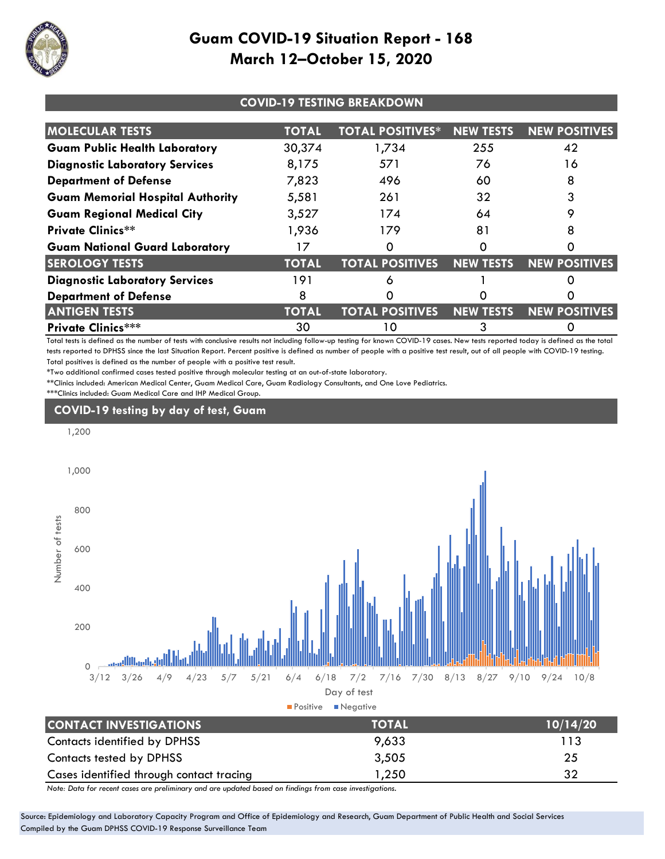

| <b>COVID-19 TESTING BREAKDOWN</b>       |              |                                  |                  |                      |
|-----------------------------------------|--------------|----------------------------------|------------------|----------------------|
| <b>MOLECULAR TESTS</b>                  | <b>TOTAL</b> | <b>TOTAL POSITIVES*</b>          | <b>NEW TESTS</b> | <b>NEW POSITIVES</b> |
| <b>Guam Public Health Laboratory</b>    | 30,374       | 1,734                            | 255              | 42                   |
| <b>Diagnostic Laboratory Services</b>   | 8,175        | 571                              | 76               | 16                   |
| <b>Department of Defense</b>            | 7,823        | 496                              | 60               | 8                    |
| <b>Guam Memorial Hospital Authority</b> | 5,581        | 261                              | 32               |                      |
| <b>Guam Regional Medical City</b>       | 3,527        | 174                              | 64               |                      |
| <b>Private Clinics**</b>                | 1,936        | 179                              | 81               |                      |
| <b>Guam National Guard Laboratory</b>   | 17           |                                  |                  |                      |
| <b>SEROLOGY TESTS</b>                   | <b>TOTAL</b> | <b>TOTAL POSITIVES NEW TESTS</b> |                  | <b>NEW POSITIVES</b> |
| <b>Diagnostic Laboratory Services</b>   | 191          | δ                                |                  |                      |
| <b>Department of Defense</b>            | 8            |                                  |                  |                      |
| <b>ANTIGEN TESTS</b>                    | <b>TOTAL</b> | <b>TOTAL POSITIVES</b>           | NEW TESTS        | <b>NEW POSITIVES</b> |
| <b>Private Clinics***</b>               | 30           | 10                               |                  |                      |

Total tests is defined as the number of tests with conclusive results not including follow-up testing for known COVID-19 cases. New tests reported today is defined as the total tests reported to DPHSS since the last Situation Report. Percent positive is defined as number of people with a positive test result, out of all people with COVID-19 testing. Total positives is defined as the number of people with a positive test result.

\*Two additional confirmed cases tested positive through molecular testing at an out-of-state laboratory.

\*\*Clinics included: American Medical Center, Guam Medical Care, Guam Radiology Consultants, and One Love Pediatrics. \*\*\*Clinics included: Guam Medical Care and IHP Medical Group.





| Contacts tested by DPHSS                 | 3,505 |    |
|------------------------------------------|-------|----|
| Cases identified through contact tracing | 1,250 | 32 |

*Note: Data for recent cases are preliminary and are updated based on findings from case investigations.*

Source: Epidemiology and Laboratory Capacity Program and Office of Epidemiology and Research, Guam Department of Public Health and Social Services Compiled by the Guam DPHSS COVID-19 Response Surveillance Team